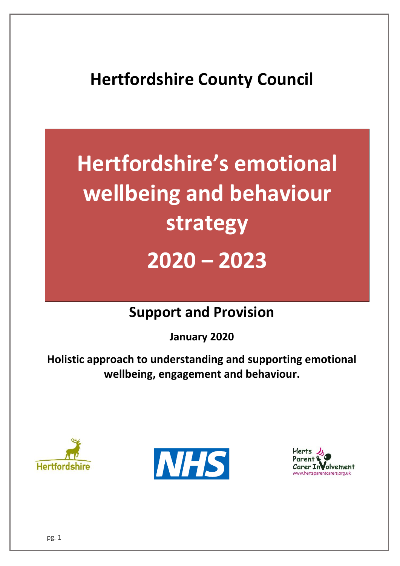# **Hertfordshire County Council**

# **Hertfordshire's emotional wellbeing and behaviour strategy 2020 – 2023**

# **Support and Provision**

**January 2020**

**Holistic approach to understanding and supporting emotional wellbeing, engagement and behaviour.**





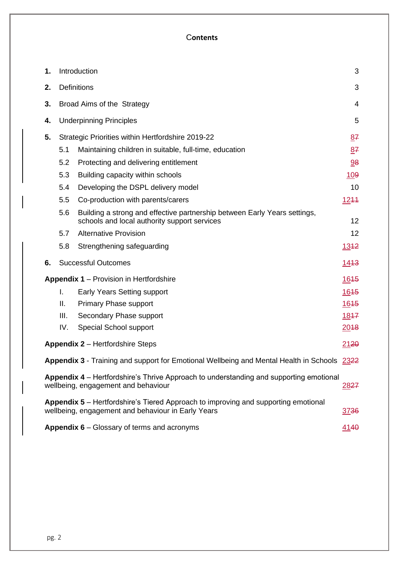#### C**ontents**

| 1.                                                                                                                                               | Introduction<br>3                                       |                                                                                                                           |      |  |  |
|--------------------------------------------------------------------------------------------------------------------------------------------------|---------------------------------------------------------|---------------------------------------------------------------------------------------------------------------------------|------|--|--|
| 2.                                                                                                                                               |                                                         | <b>Definitions</b><br>3                                                                                                   |      |  |  |
| 3.                                                                                                                                               |                                                         | Broad Aims of the Strategy<br>4                                                                                           |      |  |  |
| 4.                                                                                                                                               |                                                         | <b>Underpinning Principles</b><br>5                                                                                       |      |  |  |
| 5.                                                                                                                                               | Strategic Priorities within Hertfordshire 2019-22<br>87 |                                                                                                                           |      |  |  |
|                                                                                                                                                  | 5.1                                                     | Maintaining children in suitable, full-time, education                                                                    | 87   |  |  |
|                                                                                                                                                  | 5.2                                                     | Protecting and delivering entitlement                                                                                     | 98   |  |  |
|                                                                                                                                                  | 5.3                                                     | Building capacity within schools                                                                                          | 109  |  |  |
|                                                                                                                                                  | 5.4                                                     | Developing the DSPL delivery model                                                                                        | 10   |  |  |
|                                                                                                                                                  | 5.5                                                     | Co-production with parents/carers                                                                                         | 1244 |  |  |
|                                                                                                                                                  | 5.6                                                     | Building a strong and effective partnership between Early Years settings,<br>schools and local authority support services | 12   |  |  |
|                                                                                                                                                  | 5.7                                                     | <b>Alternative Provision</b>                                                                                              | 12   |  |  |
|                                                                                                                                                  | 5.8                                                     | Strengthening safeguarding                                                                                                | 1342 |  |  |
| 6.                                                                                                                                               | <b>Successful Outcomes</b><br><u> 1443 </u>             |                                                                                                                           |      |  |  |
| <b>Appendix 1 – Provision in Hertfordshire</b>                                                                                                   |                                                         |                                                                                                                           |      |  |  |
|                                                                                                                                                  | I.                                                      | <b>Early Years Setting support</b>                                                                                        | 1645 |  |  |
|                                                                                                                                                  | Ш.                                                      | <b>Primary Phase support</b>                                                                                              | 1645 |  |  |
|                                                                                                                                                  | III.                                                    | Secondary Phase support                                                                                                   | 1847 |  |  |
|                                                                                                                                                  | IV.                                                     | Special School support                                                                                                    | 2018 |  |  |
| <b>Appendix 2 - Hertfordshire Steps</b><br>2120                                                                                                  |                                                         |                                                                                                                           |      |  |  |
| <b>Appendix 3</b> - Training and support for Emotional Wellbeing and Mental Health in Schools 2322                                               |                                                         |                                                                                                                           |      |  |  |
| Appendix 4 – Hertfordshire's Thrive Approach to understanding and supporting emotional<br>wellbeing, engagement and behaviour<br><u>2827</u>     |                                                         |                                                                                                                           |      |  |  |
| Appendix 5 – Hertfordshire's Tiered Approach to improving and supporting emotional<br>wellbeing, engagement and behaviour in Early Years<br>3736 |                                                         |                                                                                                                           |      |  |  |
| Appendix 6 – Glossary of terms and acronyms<br>4140                                                                                              |                                                         |                                                                                                                           |      |  |  |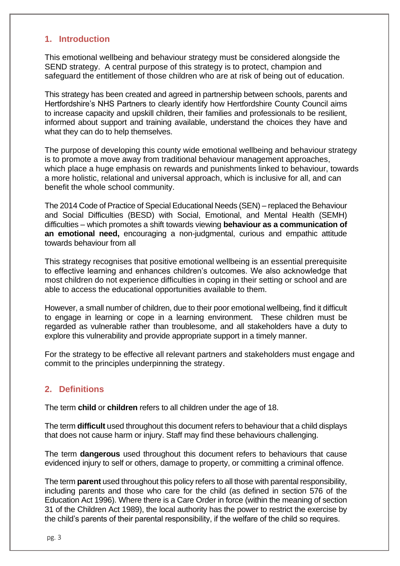#### <span id="page-2-0"></span>**1. Introduction**

This emotional wellbeing and behaviour strategy must be considered alongside the SEND strategy. A central purpose of this strategy is to protect, champion and safeguard the entitlement of those children who are at risk of being out of education.

This strategy has been created and agreed in partnership between schools, parents and Hertfordshire's NHS Partners to clearly identify how Hertfordshire County Council aims to increase capacity and upskill children, their families and professionals to be resilient, informed about support and training available, understand the choices they have and what they can do to help themselves.

The purpose of developing this county wide emotional wellbeing and behaviour strategy is to promote a move away from traditional behaviour management approaches, which place a huge emphasis on rewards and punishments linked to behaviour, towards a more holistic, relational and universal approach, which is inclusive for all, and can benefit the whole school community.

The 2014 Code of Practice of Special Educational Needs (SEN) – replaced the Behaviour and Social Difficulties (BESD) with Social, Emotional, and Mental Health (SEMH) difficulties – which promotes a shift towards viewing **behaviour as a communication of an emotional need,** encouraging a non-judgmental, curious and empathic attitude towards behaviour from all

This strategy recognises that positive emotional wellbeing is an essential prerequisite to effective learning and enhances children's outcomes. We also acknowledge that most children do not experience difficulties in coping in their setting or school and are able to access the educational opportunities available to them.

However, a small number of children, due to their poor emotional wellbeing, find it difficult to engage in learning or cope in a learning environment. These children must be regarded as vulnerable rather than troublesome, and all stakeholders have a duty to explore this vulnerability and provide appropriate support in a timely manner.

For the strategy to be effective all relevant partners and stakeholders must engage and commit to the principles underpinning the strategy.

#### <span id="page-2-1"></span>**2. Definitions**

The term **child** or **children** refers to all children under the age of 18.

The term **difficult** used throughout this document refers to behaviour that a child displays that does not cause harm or injury. Staff may find these behaviours challenging.

The term **dangerous** used throughout this document refers to behaviours that cause evidenced injury to self or others, damage to property, or committing a criminal offence.

The term **parent** used throughout this policy refers to all those with parental responsibility, including parents and those who care for the child (as defined in section 576 of the Education Act 1996). Where there is a Care Order in force (within the meaning of section 31 of the Children Act 1989), the local authority has the power to restrict the exercise by the child's parents of their parental responsibility, if the welfare of the child so requires.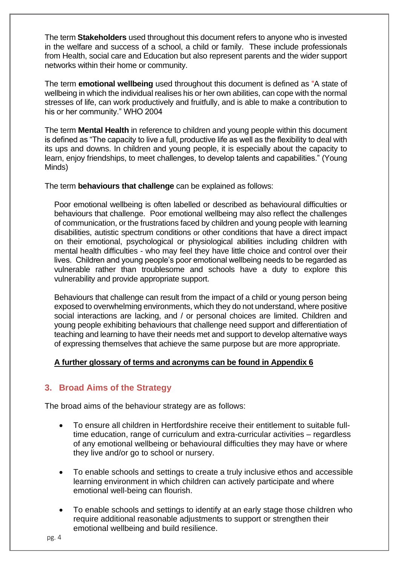The term **Stakeholders** used throughout this document refers to anyone who is invested in the welfare and success of a school, a child or family. These include professionals from Health, social care and Education but also represent parents and the wider support networks within their home or community.

The term **emotional wellbeing** used throughout this document is defined as "A state of wellbeing in which the individual realises his or her own abilities, can cope with the normal stresses of life, can work productively and fruitfully, and is able to make a contribution to his or her community." WHO 2004

The term **Mental Health** in reference to children and young people within this document is defined as "The capacity to live a full, productive life as well as the flexibility to deal with its ups and downs. In children and young people, it is especially about the capacity to learn, enjoy friendships, to meet challenges, to develop talents and capabilities." (Young Minds)

The term **behaviours that challenge** can be explained as follows:

Poor emotional wellbeing is often labelled or described as behavioural difficulties or behaviours that challenge. Poor emotional wellbeing may also reflect the challenges of communication, or the frustrations faced by children and young people with learning disabilities, autistic spectrum conditions or other conditions that have a direct impact on their emotional, psychological or physiological abilities including children with mental health difficulties - who may feel they have little choice and control over their lives. Children and young people's poor emotional wellbeing needs to be regarded as vulnerable rather than troublesome and schools have a duty to explore this vulnerability and provide appropriate support.

Behaviours that challenge can result from the impact of a child or young person being exposed to overwhelming environments, which they do not understand, where positive social interactions are lacking, and / or personal choices are limited. Children and young people exhibiting behaviours that challenge need support and differentiation of teaching and learning to have their needs met and support to develop alternative ways of expressing themselves that achieve the same purpose but are more appropriate.

#### **A further glossary of terms and acronyms can be found in Appendix 6**

# <span id="page-3-0"></span>**3. Broad Aims of the Strategy**

The broad aims of the behaviour strategy are as follows:

- To ensure all children in Hertfordshire receive their entitlement to suitable fulltime education, range of curriculum and extra-curricular activities – regardless of any emotional wellbeing or behavioural difficulties they may have or where they live and/or go to school or nursery.
- To enable schools and settings to create a truly inclusive ethos and accessible learning environment in which children can actively participate and where emotional well-being can flourish.
- To enable schools and settings to identify at an early stage those children who require additional reasonable adjustments to support or strengthen their emotional wellbeing and build resilience.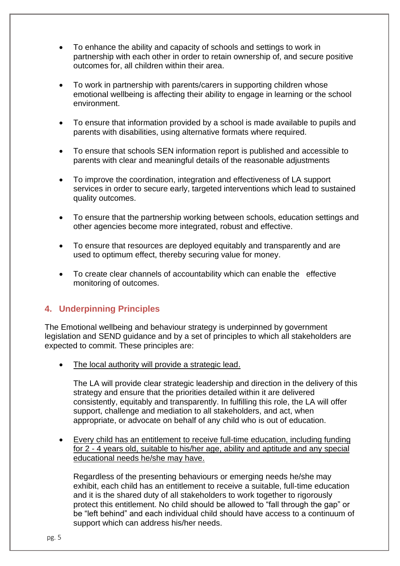- To enhance the ability and capacity of schools and settings to work in partnership with each other in order to retain ownership of, and secure positive outcomes for, all children within their area.
- To work in partnership with parents/carers in supporting children whose emotional wellbeing is affecting their ability to engage in learning or the school environment.
- To ensure that information provided by a school is made available to pupils and parents with disabilities, using alternative formats where required.
- To ensure that schools SEN information report is published and accessible to parents with clear and meaningful details of the reasonable adjustments
- To improve the coordination, integration and effectiveness of LA support services in order to secure early, targeted interventions which lead to sustained quality outcomes.
- To ensure that the partnership working between schools, education settings and other agencies become more integrated, robust and effective.
- To ensure that resources are deployed equitably and transparently and are used to optimum effect, thereby securing value for money.
- To create clear channels of accountability which can enable the effective monitoring of outcomes.

# <span id="page-4-0"></span>**4. Underpinning Principles**

The Emotional wellbeing and behaviour strategy is underpinned by government legislation and SEND guidance and by a set of principles to which all stakeholders are expected to commit. These principles are:

The local authority will provide a strategic lead.

The LA will provide clear strategic leadership and direction in the delivery of this strategy and ensure that the priorities detailed within it are delivered consistently, equitably and transparently. In fulfilling this role, the LA will offer support, challenge and mediation to all stakeholders, and act, when appropriate, or advocate on behalf of any child who is out of education.

• Every child has an entitlement to receive full-time education, including funding for 2 - 4 years old, suitable to his/her age, ability and aptitude and any special educational needs he/she may have.

Regardless of the presenting behaviours or emerging needs he/she may exhibit, each child has an entitlement to receive a suitable, full-time education and it is the shared duty of all stakeholders to work together to rigorously protect this entitlement. No child should be allowed to "fall through the gap" or be "left behind" and each individual child should have access to a continuum of support which can address his/her needs.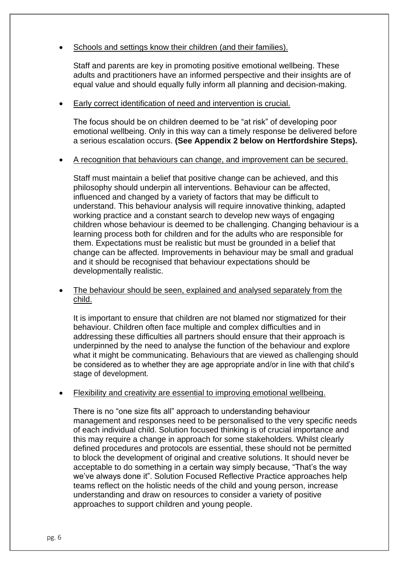#### Schools and settings know their children (and their families).

Staff and parents are key in promoting positive emotional wellbeing. These adults and practitioners have an informed perspective and their insights are of equal value and should equally fully inform all planning and decision-making.

#### • Early correct identification of need and intervention is crucial.

The focus should be on children deemed to be "at risk" of developing poor emotional wellbeing. Only in this way can a timely response be delivered before a serious escalation occurs. **(See Appendix 2 below on Hertfordshire Steps).**

#### • A recognition that behaviours can change, and improvement can be secured.

Staff must maintain a belief that positive change can be achieved, and this philosophy should underpin all interventions. Behaviour can be affected, influenced and changed by a variety of factors that may be difficult to understand. This behaviour analysis will require innovative thinking, adapted working practice and a constant search to develop new ways of engaging children whose behaviour is deemed to be challenging. Changing behaviour is a learning process both for children and for the adults who are responsible for them. Expectations must be realistic but must be grounded in a belief that change can be affected. Improvements in behaviour may be small and gradual and it should be recognised that behaviour expectations should be developmentally realistic.

• The behaviour should be seen, explained and analysed separately from the child.

It is important to ensure that children are not blamed nor stigmatized for their behaviour. Children often face multiple and complex difficulties and in addressing these difficulties all partners should ensure that their approach is underpinned by the need to analyse the function of the behaviour and explore what it might be communicating. Behaviours that are viewed as challenging should be considered as to whether they are age appropriate and/or in line with that child's stage of development.

#### • Flexibility and creativity are essential to improving emotional wellbeing.

There is no "one size fits all" approach to understanding behaviour management and responses need to be personalised to the very specific needs of each individual child. Solution focused thinking is of crucial importance and this may require a change in approach for some stakeholders. Whilst clearly defined procedures and protocols are essential, these should not be permitted to block the development of original and creative solutions. It should never be acceptable to do something in a certain way simply because, "That's the way we've always done it". Solution Focused Reflective Practice approaches help teams reflect on the holistic needs of the child and young person, increase understanding and draw on resources to consider a variety of positive approaches to support children and young people.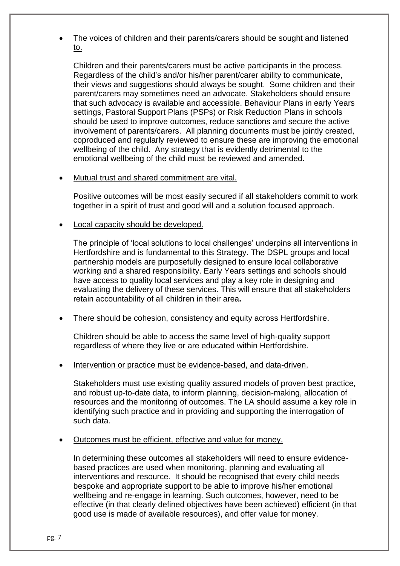• The voices of children and their parents/carers should be sought and listened to.

Children and their parents/carers must be active participants in the process. Regardless of the child's and/or his/her parent/carer ability to communicate, their views and suggestions should always be sought. Some children and their parent/carers may sometimes need an advocate. Stakeholders should ensure that such advocacy is available and accessible. Behaviour Plans in early Years settings, Pastoral Support Plans (PSPs) or Risk Reduction Plans in schools should be used to improve outcomes, reduce sanctions and secure the active involvement of parents/carers. All planning documents must be jointly created, coproduced and regularly reviewed to ensure these are improving the emotional wellbeing of the child. Any strategy that is evidently detrimental to the emotional wellbeing of the child must be reviewed and amended.

#### • Mutual trust and shared commitment are vital.

Positive outcomes will be most easily secured if all stakeholders commit to work together in a spirit of trust and good will and a solution focused approach.

#### • Local capacity should be developed.

The principle of 'local solutions to local challenges' underpins all interventions in Hertfordshire and is fundamental to this Strategy. The DSPL groups and local partnership models are purposefully designed to ensure local collaborative working and a shared responsibility. Early Years settings and schools should have access to quality local services and play a key role in designing and evaluating the delivery of these services. This will ensure that all stakeholders retain accountability of all children in their area**.**

#### • There should be cohesion, consistency and equity across Hertfordshire.

Children should be able to access the same level of high-quality support regardless of where they live or are educated within Hertfordshire.

#### Intervention or practice must be evidence-based, and data-driven.

Stakeholders must use existing quality assured models of proven best practice, and robust up-to-date data, to inform planning, decision-making, allocation of resources and the monitoring of outcomes. The LA should assume a key role in identifying such practice and in providing and supporting the interrogation of such data.

#### • Outcomes must be efficient, effective and value for money.

In determining these outcomes all stakeholders will need to ensure evidencebased practices are used when monitoring, planning and evaluating all interventions and resource. It should be recognised that every child needs bespoke and appropriate support to be able to improve his/her emotional wellbeing and re-engage in learning. Such outcomes, however, need to be effective (in that clearly defined objectives have been achieved) efficient (in that good use is made of available resources), and offer value for money.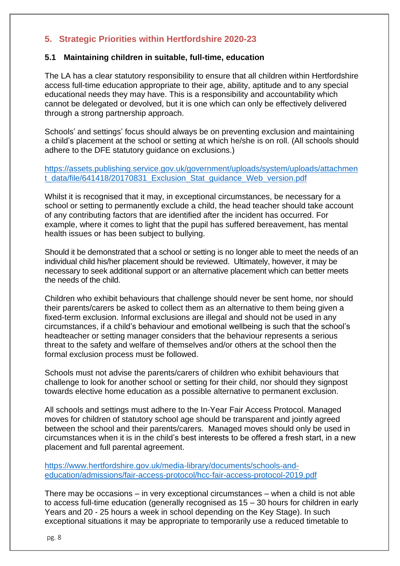# <span id="page-7-0"></span>**5. Strategic Priorities within Hertfordshire 2020-23**

#### <span id="page-7-1"></span>**5.1 Maintaining children in suitable, full-time, education**

The LA has a clear statutory responsibility to ensure that all children within Hertfordshire access full-time education appropriate to their age, ability, aptitude and to any special educational needs they may have. This is a responsibility and accountability which cannot be delegated or devolved, but it is one which can only be effectively delivered through a strong partnership approach.

Schools' and settings' focus should always be on preventing exclusion and maintaining a child's placement at the school or setting at which he/she is on roll. (All schools should adhere to the DFE statutory guidance on exclusions.)

[https://assets.publishing.service.gov.uk/government/uploads/system/uploads/attachmen](https://assets.publishing.service.gov.uk/government/uploads/system/uploads/attachment_data/file/641418/20170831_Exclusion_Stat_guidance_Web_version.pdf) t data/file/641418/20170831 Exclusion Stat quidance Web version.pdf

Whilst it is recognised that it may, in exceptional circumstances, be necessary for a school or setting to permanently exclude a child, the head teacher should take account of any contributing factors that are identified after the incident has occurred. For example, where it comes to light that the pupil has suffered bereavement, has mental health issues or has been subject to bullying.

Should it be demonstrated that a school or setting is no longer able to meet the needs of an individual child his/her placement should be reviewed. Ultimately, however, it may be necessary to seek additional support or an alternative placement which can better meets the needs of the child.

Children who exhibit behaviours that challenge should never be sent home, nor should their parents/carers be asked to collect them as an alternative to them being given a fixed-term exclusion. Informal exclusions are illegal and should not be used in any circumstances, if a child's behaviour and emotional wellbeing is such that the school's headteacher or setting manager considers that the behaviour represents a serious threat to the safety and welfare of themselves and/or others at the school then the formal exclusion process must be followed.

Schools must not advise the parents/carers of children who exhibit behaviours that challenge to look for another school or setting for their child, nor should they signpost towards elective home education as a possible alternative to permanent exclusion.

All schools and settings must adhere to the In-Year Fair Access Protocol. Managed moves for children of statutory school age should be transparent and jointly agreed between the school and their parents/carers. Managed moves should only be used in circumstances when it is in the child's best interests to be offered a fresh start, in a new placement and full parental agreement.

[https://www.hertfordshire.gov.uk/media-library/documents/schools-and](https://www.hertfordshire.gov.uk/media-library/documents/schools-and-education/admissions/fair-access-protocol/hcc-fair-access-protocol-2019.pdf)[education/admissions/fair-access-protocol/hcc-fair-access-protocol-2019.pdf](https://www.hertfordshire.gov.uk/media-library/documents/schools-and-education/admissions/fair-access-protocol/hcc-fair-access-protocol-2019.pdf)

There may be occasions – in very exceptional circumstances – when a child is not able to access full-time education (generally recognised as 15 – 30 hours for children in early Years and 20 - 25 hours a week in school depending on the Key Stage). In such exceptional situations it may be appropriate to temporarily use a reduced timetable to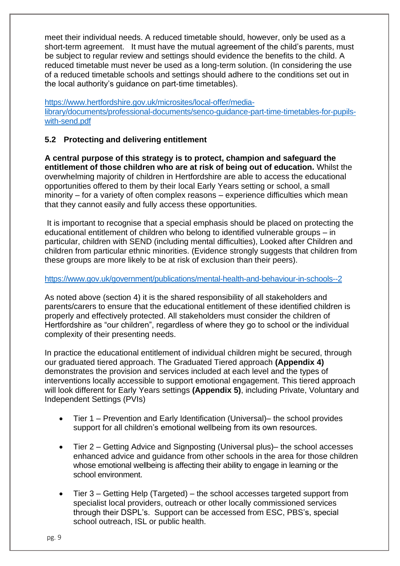meet their individual needs. A reduced timetable should, however, only be used as a short-term agreement. It must have the mutual agreement of the child's parents, must be subject to regular review and settings should evidence the benefits to the child. A reduced timetable must never be used as a long-term solution. (In considering the use of a reduced timetable schools and settings should adhere to the conditions set out in the local authority's guidance on part-time timetables).

[https://www.hertfordshire.gov.uk/microsites/local-offer/media](https://www.hertfordshire.gov.uk/microsites/local-offer/media-library/documents/professional-documents/senco-guidance-part-time-timetables-for-pupils-with-send.pdf)[library/documents/professional-documents/senco-guidance-part-time-timetables-for-pupils](https://www.hertfordshire.gov.uk/microsites/local-offer/media-library/documents/professional-documents/senco-guidance-part-time-timetables-for-pupils-with-send.pdf)[with-send.pdf](https://www.hertfordshire.gov.uk/microsites/local-offer/media-library/documents/professional-documents/senco-guidance-part-time-timetables-for-pupils-with-send.pdf)

#### <span id="page-8-0"></span>**5.2 Protecting and delivering entitlement**

**A central purpose of this strategy is to protect, champion and safeguard the entitlement of those children who are at risk of being out of education.** Whilst the overwhelming majority of children in Hertfordshire are able to access the educational opportunities offered to them by their local Early Years setting or school, a small minority – for a variety of often complex reasons – experience difficulties which mean that they cannot easily and fully access these opportunities.

It is important to recognise that a special emphasis should be placed on protecting the educational entitlement of children who belong to identified vulnerable groups – in particular, children with SEND (including mental difficulties), Looked after Children and children from particular ethnic minorities. (Evidence strongly suggests that children from these groups are more likely to be at risk of exclusion than their peers).

#### <https://www.gov.uk/government/publications/mental-health-and-behaviour-in-schools--2>

As noted above (section 4) it is the shared responsibility of all stakeholders and parents/carers to ensure that the educational entitlement of these identified children is properly and effectively protected. All stakeholders must consider the children of Hertfordshire as "our children", regardless of where they go to school or the individual complexity of their presenting needs.

In practice the educational entitlement of individual children might be secured, through our graduated tiered approach. The Graduated Tiered approach **(Appendix 4)** demonstrates the provision and services included at each level and the types of interventions locally accessible to support emotional engagement. This tiered approach will look different for Early Years settings **(Appendix 5)**, including Private, Voluntary and Independent Settings (PVIs)

- Tier 1 Prevention and Early Identification (Universal)– the school provides support for all children's emotional wellbeing from its own resources.
- Tier 2 Getting Advice and Signposting (Universal plus)– the school accesses enhanced advice and guidance from other schools in the area for those children whose emotional wellbeing is affecting their ability to engage in learning or the school environment.
- Tier 3 Getting Help (Targeted) the school accesses targeted support from specialist local providers, outreach or other locally commissioned services through their DSPL's. Support can be accessed from ESC, PBS's, special school outreach, ISL or public health.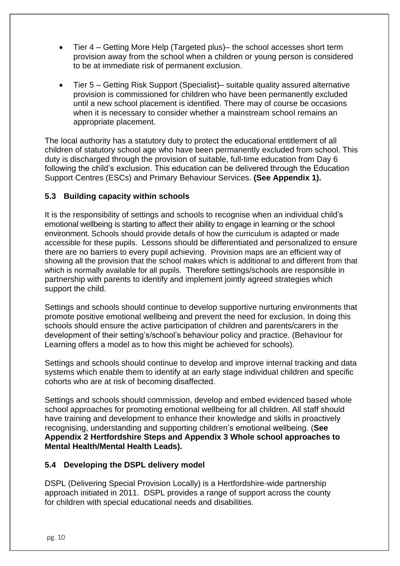- Tier 4 Getting More Help (Targeted plus)– the school accesses short term provision away from the school when a children or young person is considered to be at immediate risk of permanent exclusion.
- Tier 5 Getting Risk Support (Specialist)– suitable quality assured alternative provision is commissioned for children who have been permanently excluded until a new school placement is identified. There may of course be occasions when it is necessary to consider whether a mainstream school remains an appropriate placement.

The local authority has a statutory duty to protect the educational entitlement of all children of statutory school age who have been permanently excluded from school. This duty is discharged through the provision of suitable, full-time education from Day 6 following the child's exclusion. This education can be delivered through the Education Support Centres (ESCs) and Primary Behaviour Services. **(See Appendix 1).**

# <span id="page-9-0"></span>**5.3 Building capacity within schools**

It is the responsibility of settings and schools to recognise when an individual child's emotional wellbeing is starting to affect their ability to engage in learning or the school environment. Schools should provide details of how the curriculum is adapted or made accessible for these pupils. Lessons should be differentiated and personalized to ensure there are no barriers to every pupil achieving. Provision maps are an efficient way of showing all the provision that the school makes which is additional to and different from that which is normally available for all pupils. Therefore settings/schools are responsible in partnership with parents to identify and implement jointly agreed strategies which support the child.

Settings and schools should continue to develop supportive nurturing environments that promote positive emotional wellbeing and prevent the need for exclusion. In doing this schools should ensure the active participation of children and parents/carers in the development of their setting's/school's behaviour policy and practice. (Behaviour for Learning offers a model as to how this might be achieved for schools).

Settings and schools should continue to develop and improve internal tracking and data systems which enable them to identify at an early stage individual children and specific cohorts who are at risk of becoming disaffected.

Settings and schools should commission, develop and embed evidenced based whole school approaches for promoting emotional wellbeing for all children. All staff should have training and development to enhance their knowledge and skills in proactively recognising, understanding and supporting children's emotional wellbeing. (**See Appendix 2 Hertfordshire Steps and Appendix 3 Whole school approaches to Mental Health/Mental Health Leads).**

#### <span id="page-9-1"></span>**5.4 Developing the DSPL delivery model**

DSPL (Delivering Special Provision Locally) is a Hertfordshire-wide partnership approach initiated in 2011. DSPL provides a range of support across the county for children with special educational needs and disabilities.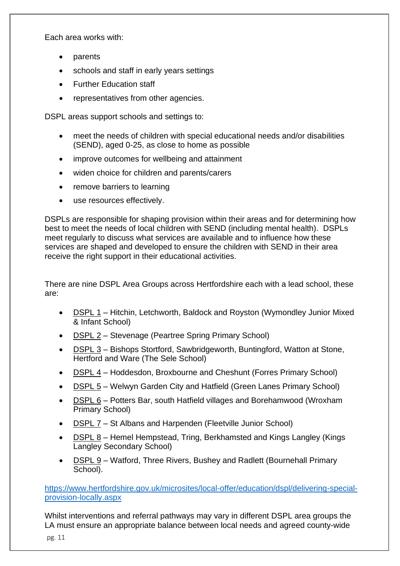Each area works with:

- **parents**
- schools and staff in early years settings
- Further Education staff
- representatives from other agencies.

DSPL areas support schools and settings to:

- meet the needs of children with special educational needs and/or disabilities (SEND), aged 0-25, as close to home as possible
- improve outcomes for wellbeing and attainment
- widen choice for children and parents/carers
- remove barriers to learning
- use resources effectively.

DSPLs are responsible for shaping provision within their areas and for determining how best to meet the needs of local children with SEND (including mental health). DSPLs meet regularly to discuss what services are available and to influence how these services are shaped and developed to ensure the children with SEND in their area receive the right support in their educational activities.

There are nine DSPL Area Groups across Hertfordshire each with a lead school, these are:

- DSPL 1 Hitchin, Letchworth, Baldock and Royston (Wymondley Junior Mixed & Infant School)
- DSPL 2 Stevenage (Peartree Spring Primary School)
- DSPL 3 Bishops Stortford, Sawbridgeworth, Buntingford, Watton at Stone, Hertford and Ware (The Sele School)
- DSPL 4 Hoddesdon, Broxbourne and Cheshunt (Forres Primary School)
- DSPL 5 Welwyn Garden City and Hatfield (Green Lanes Primary School)
- DSPL 6 Potters Bar, south Hatfield villages and Borehamwood (Wroxham Primary School)
- DSPL 7 St Albans and Harpenden (Fleetville Junior School)
- DSPL 8 Hemel Hempstead, Tring, Berkhamsted and Kings Langley (Kings Langley Secondary School)
- DSPL 9 Watford, Three Rivers, Bushey and Radlett (Bournehall Primary School).

[https://www.hertfordshire.gov.uk/microsites/local-offer/education/dspl/delivering-special](https://www.hertfordshire.gov.uk/microsites/local-offer/education/dspl/delivering-special-provision-locally.aspx)[provision-locally.aspx](https://www.hertfordshire.gov.uk/microsites/local-offer/education/dspl/delivering-special-provision-locally.aspx)

Whilst interventions and referral pathways may vary in different DSPL area groups the LA must ensure an appropriate balance between local needs and agreed county-wide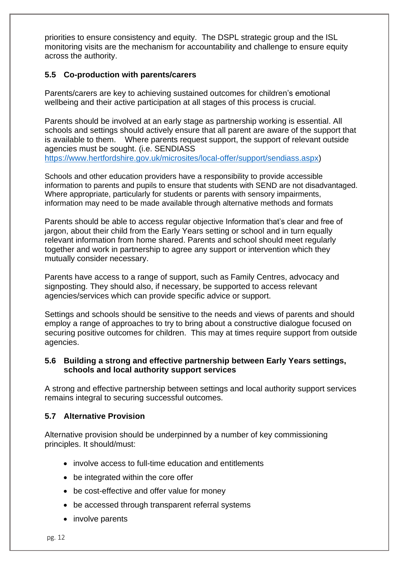priorities to ensure consistency and equity. The DSPL strategic group and the ISL monitoring visits are the mechanism for accountability and challenge to ensure equity across the authority.

#### <span id="page-11-0"></span>**5.5 Co-production with parents/carers**

Parents/carers are key to achieving sustained outcomes for children's emotional wellbeing and their active participation at all stages of this process is crucial.

Parents should be involved at an early stage as partnership working is essential. All schools and settings should actively ensure that all parent are aware of the support that is available to them. Where parents request support, the support of relevant outside agencies must be sought. (i.e. SENDIASS [https://www.hertfordshire.gov.uk/microsites/local-offer/support/sendiass.aspx\)](https://www.hertfordshire.gov.uk/microsites/local-offer/support/sendiass.aspx)

Schools and other education providers have a responsibility to provide accessible information to parents and pupils to ensure that students with SEND are not disadvantaged. Where appropriate, particularly for students or parents with sensory impairments, information may need to be made available through alternative methods and formats

Parents should be able to access regular objective Information that's clear and free of jargon, about their child from the Early Years setting or school and in turn equally relevant information from home shared. Parents and school should meet regularly together and work in partnership to agree any support or intervention which they mutually consider necessary.

Parents have access to a range of support, such as Family Centres, advocacy and signposting. They should also, if necessary, be supported to access relevant agencies/services which can provide specific advice or support.

Settings and schools should be sensitive to the needs and views of parents and should employ a range of approaches to try to bring about a constructive dialogue focused on securing positive outcomes for children. This may at times require support from outside agencies.

#### <span id="page-11-1"></span>**5.6 Building a strong and effective partnership between Early Years settings, schools and local authority support services**

A strong and effective partnership between settings and local authority support services remains integral to securing successful outcomes.

#### <span id="page-11-2"></span>**5.7 Alternative Provision**

Alternative provision should be underpinned by a number of key commissioning principles. It should/must:

- involve access to full-time education and entitlements
- be integrated within the core offer
- be cost-effective and offer value for money
- be accessed through transparent referral systems
- involve parents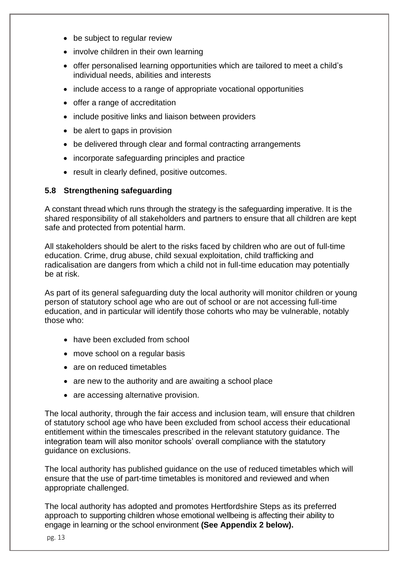- be subject to regular review
- involve children in their own learning
- offer personalised learning opportunities which are tailored to meet a child's individual needs, abilities and interests
- include access to a range of appropriate vocational opportunities
- offer a range of accreditation
- include positive links and liaison between providers
- be alert to gaps in provision
- be delivered through clear and formal contracting arrangements
- incorporate safeguarding principles and practice
- result in clearly defined, positive outcomes.

#### <span id="page-12-0"></span>**5.8 Strengthening safeguarding**

A constant thread which runs through the strategy is the safeguarding imperative. It is the shared responsibility of all stakeholders and partners to ensure that all children are kept safe and protected from potential harm.

All stakeholders should be alert to the risks faced by children who are out of full-time education. Crime, drug abuse, child sexual exploitation, child trafficking and radicalisation are dangers from which a child not in full-time education may potentially be at risk.

As part of its general safeguarding duty the local authority will monitor children or young person of statutory school age who are out of school or are not accessing full-time education, and in particular will identify those cohorts who may be vulnerable, notably those who:

- have been excluded from school
- move school on a regular basis
- are on reduced timetables
- are new to the authority and are awaiting a school place
- are accessing alternative provision.

The local authority, through the fair access and inclusion team, will ensure that children of statutory school age who have been excluded from school access their educational entitlement within the timescales prescribed in the relevant statutory guidance. The integration team will also monitor schools' overall compliance with the statutory guidance on exclusions.

The local authority has published guidance on the use of reduced timetables which will ensure that the use of part-time timetables is monitored and reviewed and when appropriate challenged.

The local authority has adopted and promotes Hertfordshire Steps as its preferred approach to supporting children whose emotional wellbeing is affecting their ability to engage in learning or the school environment **(See Appendix 2 below).**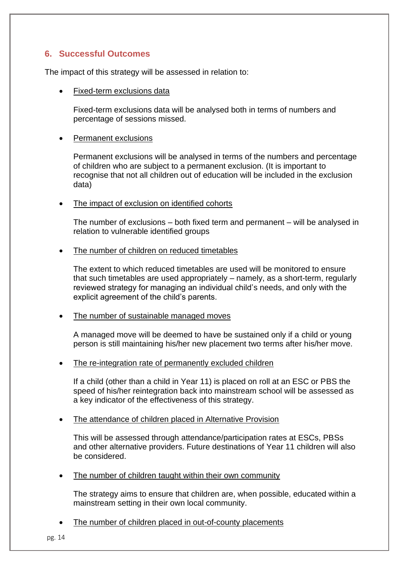# <span id="page-13-0"></span>**6. Successful Outcomes**

The impact of this strategy will be assessed in relation to:

• Fixed-term exclusions data

Fixed-term exclusions data will be analysed both in terms of numbers and percentage of sessions missed.

#### • Permanent exclusions

Permanent exclusions will be analysed in terms of the numbers and percentage of children who are subject to a permanent exclusion. (It is important to recognise that not all children out of education will be included in the exclusion data)

#### The impact of exclusion on identified cohorts

The number of exclusions – both fixed term and permanent – will be analysed in relation to vulnerable identified groups

#### The number of children on reduced timetables

The extent to which reduced timetables are used will be monitored to ensure that such timetables are used appropriately – namely, as a short-term, regularly reviewed strategy for managing an individual child's needs, and only with the explicit agreement of the child's parents.

#### The number of sustainable managed moves

A managed move will be deemed to have be sustained only if a child or young person is still maintaining his/her new placement two terms after his/her move.

#### The re-integration rate of permanently excluded children

If a child (other than a child in Year 11) is placed on roll at an ESC or PBS the speed of his/her reintegration back into mainstream school will be assessed as a key indicator of the effectiveness of this strategy.

#### The attendance of children placed in Alternative Provision

This will be assessed through attendance/participation rates at ESCs, PBSs and other alternative providers. Future destinations of Year 11 children will also be considered.

The number of children taught within their own community

The strategy aims to ensure that children are, when possible, educated within a mainstream setting in their own local community.

The number of children placed in out-of-county placements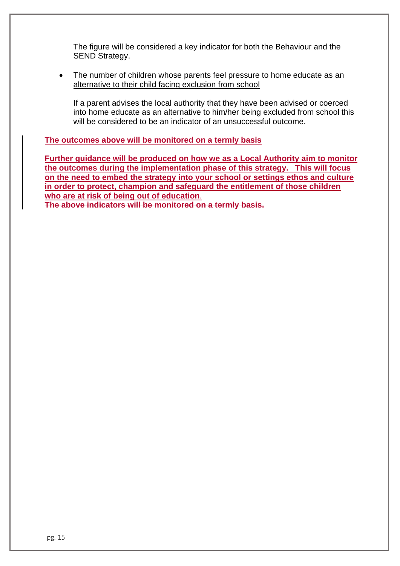The figure will be considered a key indicator for both the Behaviour and the SEND Strategy.

• The number of children whose parents feel pressure to home educate as an alternative to their child facing exclusion from school

If a parent advises the local authority that they have been advised or coerced into home educate as an alternative to him/her being excluded from school this will be considered to be an indicator of an unsuccessful outcome.

**The outcomes above will be monitored on a termly basis** 

**Further guidance will be produced on how we as a Local Authority aim to monitor the outcomes during the implementation phase of this strategy. This will focus on the need to embed the strategy into your school or settings ethos and culture in order to protect, champion and safeguard the entitlement of those children who are at risk of being out of education**.

**The above indicators will be monitored on a termly basis.**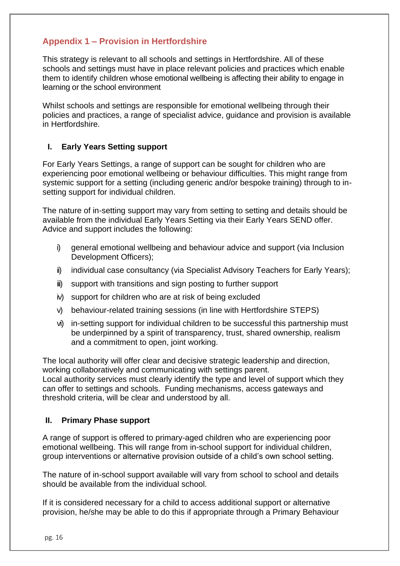# <span id="page-15-0"></span>**Appendix 1 – Provision in Hertfordshire**

This strategy is relevant to all schools and settings in Hertfordshire. All of these schools and settings must have in place relevant policies and practices which enable them to identify children whose emotional wellbeing is affecting their ability to engage in learning or the school environment

Whilst schools and settings are responsible for emotional wellbeing through their policies and practices, a range of specialist advice, guidance and provision is available in Hertfordshire.

#### <span id="page-15-1"></span>**I. Early Years Setting support**

For Early Years Settings, a range of support can be sought for children who are experiencing poor emotional wellbeing or behaviour difficulties. This might range from systemic support for a setting (including generic and/or bespoke training) through to insetting support for individual children.

The nature of in-setting support may vary from setting to setting and details should be available from the individual Early Years Setting via their Early Years SEND offer. Advice and support includes the following:

- i) general emotional wellbeing and behaviour advice and support (via Inclusion Development Officers);
- ii) individual case consultancy (via Specialist Advisory Teachers for Early Years);
- iii) support with transitions and sign posting to further support
- iv) support for children who are at risk of being excluded
- v) behaviour-related training sessions (in line with Hertfordshire STEPS)
- vi) in-setting support for individual children to be successful this partnership must be underpinned by a spirit of transparency, trust, shared ownership, realism and a commitment to open, joint working.

The local authority will offer clear and decisive strategic leadership and direction, working collaboratively and communicating with settings parent.

Local authority services must clearly identify the type and level of support which they can offer to settings and schools. Funding mechanisms, access gateways and threshold criteria, will be clear and understood by all.

#### <span id="page-15-2"></span>**II. Primary Phase support**

A range of support is offered to primary-aged children who are experiencing poor emotional wellbeing. This will range from in-school support for individual children, group interventions or alternative provision outside of a child's own school setting.

The nature of in-school support available will vary from school to school and details should be available from the individual school.

If it is considered necessary for a child to access additional support or alternative provision, he/she may be able to do this if appropriate through a Primary Behaviour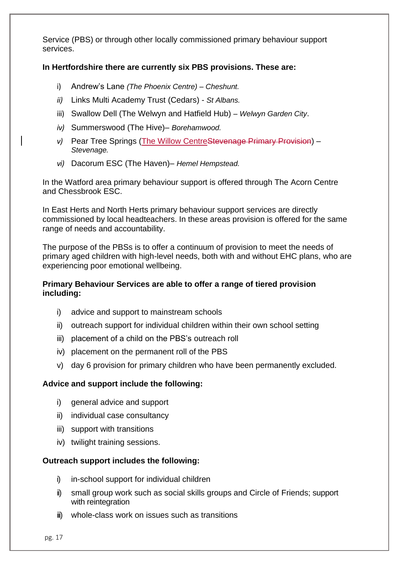Service (PBS) or through other locally commissioned primary behaviour support services.

#### **In Hertfordshire there are currently six PBS provisions. These are:**

- i) Andrew's Lane *(The Phoenix Centre) – Cheshunt.*
- *ii)* Links Multi Academy Trust (Cedars) *St Albans.*
- iii) Swallow Dell (The Welwyn and Hatfield Hub) *– Welwyn Garden City*.
- *iv)* Summerswood (The Hive)– *Borehamwood.*
- *v)* Pear Tree Springs (The Willow CentreStevenage Primary Provision) *Stevenage.*
- *vi)* Dacorum ESC (The Haven)– *Hemel Hempstead.*

In the Watford area primary behaviour support is offered through The Acorn Centre and Chessbrook ESC.

In East Herts and North Herts primary behaviour support services are directly commissioned by local headteachers. In these areas provision is offered for the same range of needs and accountability.

The purpose of the PBSs is to offer a continuum of provision to meet the needs of primary aged children with high-level needs, both with and without EHC plans, who are experiencing poor emotional wellbeing.

#### **Primary Behaviour Services are able to offer a range of tiered provision including:**

- i) advice and support to mainstream schools
- ii) outreach support for individual children within their own school setting
- iii) placement of a child on the PBS's outreach roll
- iv) placement on the permanent roll of the PBS
- v) day 6 provision for primary children who have been permanently excluded.

#### **Advice and support include the following:**

- i) general advice and support
- ii) individual case consultancy
- iii) support with transitions
- iv) twilight training sessions.

#### **Outreach support includes the following:**

- i) in-school support for individual children
- ii) small group work such as social skills groups and Circle of Friends; support with reintegration
- iii) whole-class work on issues such as transitions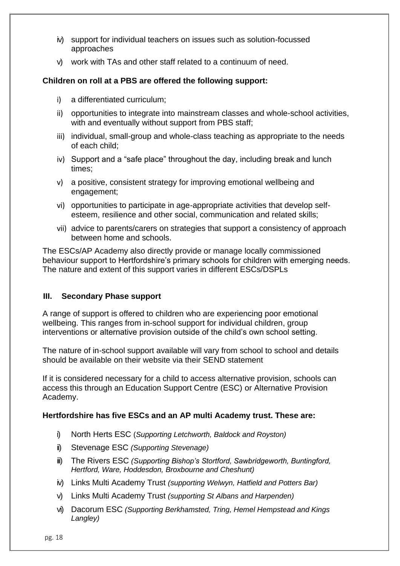- iv) support for individual teachers on issues such as solution-focussed approaches
- v) work with TAs and other staff related to a continuum of need.

#### **Children on roll at a PBS are offered the following support:**

- i) a differentiated curriculum;
- ii) opportunities to integrate into mainstream classes and whole-school activities, with and eventually without support from PBS staff:
- iii) individual, small-group and whole-class teaching as appropriate to the needs of each child;
- iv) Support and a "safe place" throughout the day, including break and lunch times;
- v) a positive, consistent strategy for improving emotional wellbeing and engagement;
- vi) opportunities to participate in age-appropriate activities that develop selfesteem, resilience and other social, communication and related skills;
- vii) advice to parents/carers on strategies that support a consistency of approach between home and schools.

The ESCs/AP Academy also directly provide or manage locally commissioned behaviour support to Hertfordshire's primary schools for children with emerging needs. The nature and extent of this support varies in different ESCs/DSPLs

#### <span id="page-17-0"></span>**III. Secondary Phase support**

A range of support is offered to children who are experiencing poor emotional wellbeing. This ranges from in-school support for individual children, group interventions or alternative provision outside of the child's own school setting.

The nature of in-school support available will vary from school to school and details should be available on their website via their SEND statement

If it is considered necessary for a child to access alternative provision, schools can access this through an Education Support Centre (ESC) or Alternative Provision Academy.

#### **Hertfordshire has five ESCs and an AP multi Academy trust. These are:**

- i) North Herts ESC (*Supporting Letchworth, Baldock and Royston)*
- ii) Stevenage ESC *(Supporting Stevenage)*
- iii) The Rivers ESC *(Supporting Bishop's Stortford, Sawbridgeworth, Buntingford, Hertford, Ware, Hoddesdon, Broxbourne and Cheshunt)*
- iv) Links Multi Academy Trust *(supporting Welwyn, Hatfield and Potters Bar)*
- v) Links Multi Academy Trust *(supporting St Albans and Harpenden)*
- vi) Dacorum ESC *(Supporting Berkhamsted, Tring, Hemel Hempstead and Kings Langley)*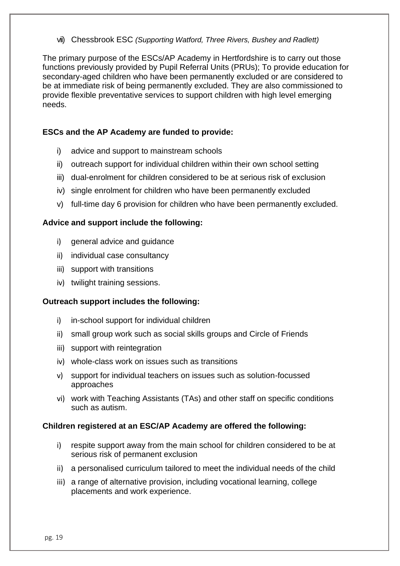vii) Chessbrook ESC *(Supporting Watford, Three Rivers, Bushey and Radlett)*

The primary purpose of the ESCs/AP Academy in Hertfordshire is to carry out those functions previously provided by Pupil Referral Units (PRUs); To provide education for secondary-aged children who have been permanently excluded or are considered to be at immediate risk of being permanently excluded. They are also commissioned to provide flexible preventative services to support children with high level emerging needs.

#### **ESCs and the AP Academy are funded to provide:**

- i) advice and support to mainstream schools
- ii) outreach support for individual children within their own school setting
- iii) dual-enrolment for children considered to be at serious risk of exclusion
- iv) single enrolment for children who have been permanently excluded
- v) full-time day 6 provision for children who have been permanently excluded.

#### **Advice and support include the following:**

- i) general advice and guidance
- ii) individual case consultancy
- iii) support with transitions
- iv) twilight training sessions.

#### **Outreach support includes the following:**

- i) in-school support for individual children
- ii) small group work such as social skills groups and Circle of Friends
- iii) support with reintegration
- iv) whole-class work on issues such as transitions
- v) support for individual teachers on issues such as solution-focussed approaches
- vi) work with Teaching Assistants (TAs) and other staff on specific conditions such as autism.

#### **Children registered at an ESC/AP Academy are offered the following:**

- i) respite support away from the main school for children considered to be at serious risk of permanent exclusion
- ii) a personalised curriculum tailored to meet the individual needs of the child
- iii) a range of alternative provision, including vocational learning, college placements and work experience.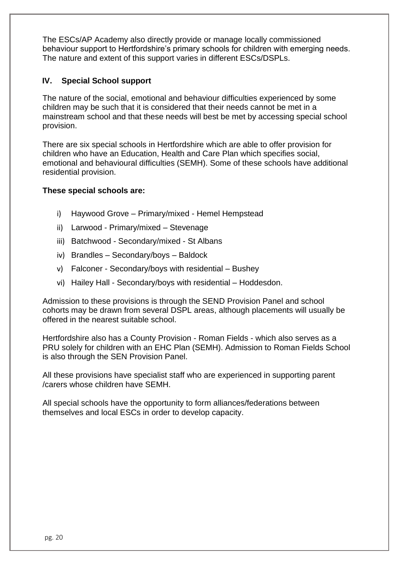The ESCs/AP Academy also directly provide or manage locally commissioned behaviour support to Hertfordshire's primary schools for children with emerging needs. The nature and extent of this support varies in different ESCs/DSPLs.

#### <span id="page-19-0"></span>**IV. Special School support**

The nature of the social, emotional and behaviour difficulties experienced by some children may be such that it is considered that their needs cannot be met in a mainstream school and that these needs will best be met by accessing special school provision.

There are six special schools in Hertfordshire which are able to offer provision for children who have an Education, Health and Care Plan which specifies social, emotional and behavioural difficulties (SEMH). Some of these schools have additional residential provision.

#### **These special schools are:**

- i) Haywood Grove Primary/mixed Hemel Hempstead
- ii) Larwood Primary/mixed Stevenage
- iii) Batchwood Secondary/mixed St Albans
- iv) Brandles Secondary/boys Baldock
- v) Falconer Secondary/boys with residential Bushey
- vi) Hailey Hall Secondary/boys with residential Hoddesdon.

Admission to these provisions is through the SEND Provision Panel and school cohorts may be drawn from several DSPL areas, although placements will usually be offered in the nearest suitable school.

Hertfordshire also has a County Provision - Roman Fields - which also serves as a PRU solely for children with an EHC Plan (SEMH). Admission to Roman Fields School is also through the SEN Provision Panel.

All these provisions have specialist staff who are experienced in supporting parent /carers whose children have SEMH.

All special schools have the opportunity to form alliances/federations between themselves and local ESCs in order to develop capacity.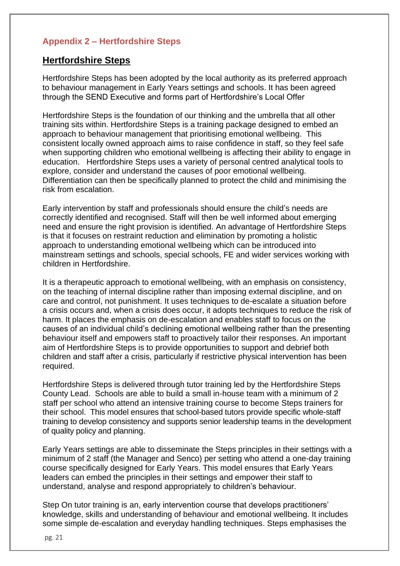# <span id="page-20-0"></span>**Appendix 2 – Hertfordshire Steps**

## **Hertfordshire Steps**

Hertfordshire Steps has been adopted by the local authority as its preferred approach to behaviour management in Early Years settings and schools. It has been agreed through the SEND Executive and forms part of Hertfordshire's Local Offer

Hertfordshire Steps is the foundation of our thinking and the umbrella that all other training sits within. Hertfordshire Steps is a training package designed to embed an approach to behaviour management that prioritising emotional wellbeing. This consistent locally owned approach aims to raise confidence in staff, so they feel safe when supporting children who emotional wellbeing is affecting their ability to engage in education. Hertfordshire Steps uses a variety of personal centred analytical tools to explore, consider and understand the causes of poor emotional wellbeing. Differentiation can then be specifically planned to protect the child and minimising the risk from escalation.

Early intervention by staff and professionals should ensure the child's needs are correctly identified and recognised. Staff will then be well informed about emerging need and ensure the right provision is identified. An advantage of Hertfordshire Steps is that it focuses on restraint reduction and elimination by promoting a holistic approach to understanding emotional wellbeing which can be introduced into mainstream settings and schools, special schools, FE and wider services working with children in Hertfordshire.

It is a therapeutic approach to emotional wellbeing, with an emphasis on consistency, on the teaching of internal discipline rather than imposing external discipline, and on care and control, not punishment. It uses techniques to de-escalate a situation before a crisis occurs and, when a crisis does occur, it adopts techniques to reduce the risk of harm. It places the emphasis on de-escalation and enables staff to focus on the causes of an individual child's declining emotional wellbeing rather than the presenting behaviour itself and empowers staff to proactively tailor their responses. An important aim of Hertfordshire Steps is to provide opportunities to support and debrief both children and staff after a crisis, particularly if restrictive physical intervention has been required.

Hertfordshire Steps is delivered through tutor training led by the Hertfordshire Steps County Lead. Schools are able to build a small in-house team with a minimum of 2 staff per school who attend an intensive training course to become Steps trainers for their school. This model ensures that school-based tutors provide specific whole-staff training to develop consistency and supports senior leadership teams in the development of quality policy and planning.

Early Years settings are able to disseminate the Steps principles in their settings with a minimum of 2 staff (the Manager and Senco) per setting who attend a one-day training course specifically designed for Early Years. This model ensures that Early Years leaders can embed the principles in their settings and empower their staff to understand, analyse and respond appropriately to children's behaviour.

Step On tutor training is an, early intervention course that develops practitioners' knowledge, skills and understanding of behaviour and emotional wellbeing. It includes some simple de-escalation and everyday handling techniques. Steps emphasises the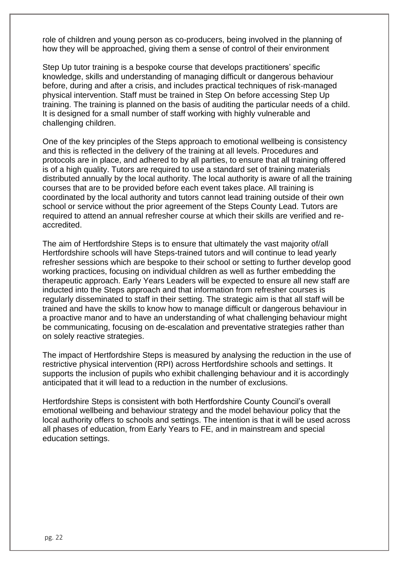role of children and young person as co-producers, being involved in the planning of how they will be approached, giving them a sense of control of their environment

Step Up tutor training is a bespoke course that develops practitioners' specific knowledge, skills and understanding of managing difficult or dangerous behaviour before, during and after a crisis, and includes practical techniques of risk-managed physical intervention. Staff must be trained in Step On before accessing Step Up training. The training is planned on the basis of auditing the particular needs of a child. It is designed for a small number of staff working with highly vulnerable and challenging children.

One of the key principles of the Steps approach to emotional wellbeing is consistency and this is reflected in the delivery of the training at all levels. Procedures and protocols are in place, and adhered to by all parties, to ensure that all training offered is of a high quality. Tutors are required to use a standard set of training materials distributed annually by the local authority. The local authority is aware of all the training courses that are to be provided before each event takes place. All training is coordinated by the local authority and tutors cannot lead training outside of their own school or service without the prior agreement of the Steps County Lead. Tutors are required to attend an annual refresher course at which their skills are verified and reaccredited.

The aim of Hertfordshire Steps is to ensure that ultimately the vast majority of/all Hertfordshire schools will have Steps-trained tutors and will continue to lead yearly refresher sessions which are bespoke to their school or setting to further develop good working practices, focusing on individual children as well as further embedding the therapeutic approach. Early Years Leaders will be expected to ensure all new staff are inducted into the Steps approach and that information from refresher courses is regularly disseminated to staff in their setting. The strategic aim is that all staff will be trained and have the skills to know how to manage difficult or dangerous behaviour in a proactive manor and to have an understanding of what challenging behaviour might be communicating, focusing on de-escalation and preventative strategies rather than on solely reactive strategies.

The impact of Hertfordshire Steps is measured by analysing the reduction in the use of restrictive physical intervention (RPI) across Hertfordshire schools and settings. It supports the inclusion of pupils who exhibit challenging behaviour and it is accordingly anticipated that it will lead to a reduction in the number of exclusions.

Hertfordshire Steps is consistent with both Hertfordshire County Council's overall emotional wellbeing and behaviour strategy and the model behaviour policy that the local authority offers to schools and settings. The intention is that it will be used across all phases of education, from Early Years to FE, and in mainstream and special education settings.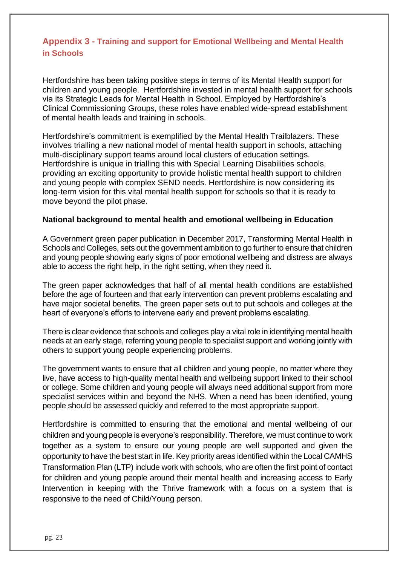# <span id="page-22-0"></span>**Appendix 3 - Training and support for Emotional Wellbeing and Mental Health in Schools**

Hertfordshire has been taking positive steps in terms of its Mental Health support for children and young people. Hertfordshire invested in mental health support for schools via its Strategic Leads for Mental Health in School. Employed by Hertfordshire's Clinical Commissioning Groups, these roles have enabled wide-spread establishment of mental health leads and training in schools.

Hertfordshire's commitment is exemplified by the Mental Health Trailblazers. These involves trialling a new national model of mental health support in schools, attaching multi-disciplinary support teams around local clusters of education settings. Hertfordshire is unique in trialling this with Special Learning Disabilities schools, providing an exciting opportunity to provide holistic mental health support to children and young people with complex SEND needs. Hertfordshire is now considering its long-term vision for this vital mental health support for schools so that it is ready to move beyond the pilot phase.

#### **National background to mental health and emotional wellbeing in Education**

A Government green paper publication in December 2017, Transforming Mental Health in Schools and Colleges, sets out the government ambition to go further to ensure that children and young people showing early signs of poor emotional wellbeing and distress are always able to access the right help, in the right setting, when they need it.

The green paper acknowledges that half of all mental health conditions are established before the age of fourteen and that early intervention can prevent problems escalating and have major societal benefits. The green paper sets out to put schools and colleges at the heart of everyone's efforts to intervene early and prevent problems escalating.

There is clear evidence that schools and colleges play a vital role in identifying mental health needs at an early stage, referring young people to specialist support and working jointly with others to support young people experiencing problems.

The government wants to ensure that all children and young people, no matter where they live, have access to high-quality mental health and wellbeing support linked to their school or college. Some children and young people will always need additional support from more specialist services within and beyond the NHS. When a need has been identified, young people should be assessed quickly and referred to the most appropriate support.

Hertfordshire is committed to ensuring that the emotional and mental wellbeing of our children and young people is everyone's responsibility. Therefore, we must continue to work together as a system to ensure our young people are well supported and given the opportunity to have the best start in life. Key priority areas identified within the Local CAMHS Transformation Plan (LTP) include work with schools, who are often the first point of contact for children and young people around their mental health and increasing access to Early Intervention in keeping with the Thrive framework with a focus on a system that is responsive to the need of Child/Young person.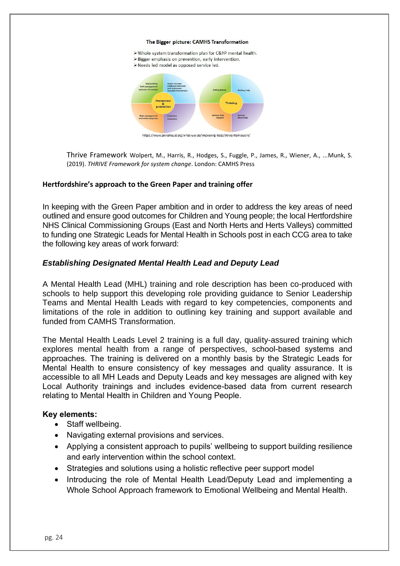#### The Bigger picture: CAMHS Transformation

> Whole system transformation plan for C&YP mental health. > Bigger emphasis on prevention, early intervention. > Needs led model as opposed service led https://www.annafreud.org/what-we-do/improving-help/thrive-frame

Thrive Framework Wolpert, M., Harris, R., Hodges, S., Fuggle, P., James, R., Wiener, A., ...Munk, S. (2019). *THRIVE Framework for system change*. London: CAMHS Press

#### **Hertfordshire's approach to the Green Paper and training offer**

In keeping with the Green Paper ambition and in order to address the key areas of need outlined and ensure good outcomes for Children and Young people; the local Hertfordshire NHS Clinical Commissioning Groups (East and North Herts and Herts Valleys) committed to funding one Strategic Leads for Mental Health in Schools post in each CCG area to take the following key areas of work forward:

#### *Establishing Designated Mental Health Lead and Deputy Lead*

A Mental Health Lead (MHL) training and role description has been co-produced with schools to help support this developing role providing guidance to Senior Leadership Teams and Mental Health Leads with regard to key competencies, components and limitations of the role in addition to outlining key training and support available and funded from CAMHS Transformation.

The Mental Health Leads Level 2 training is a full day, quality-assured training which explores mental health from a range of perspectives, school-based systems and approaches. The training is delivered on a monthly basis by the Strategic Leads for Mental Health to ensure consistency of key messages and quality assurance. It is accessible to all MH Leads and Deputy Leads and key messages are aligned with key Local Authority trainings and includes evidence-based data from current research relating to Mental Health in Children and Young People.

#### **Key elements:**

- Staff wellbeing.
- Navigating external provisions and services.
- Applying a consistent approach to pupils' wellbeing to support building resilience and early intervention within the school context.
- Strategies and solutions using a holistic reflective peer support model
- Introducing the role of Mental Health Lead/Deputy Lead and implementing a Whole School Approach framework to Emotional Wellbeing and Mental Health.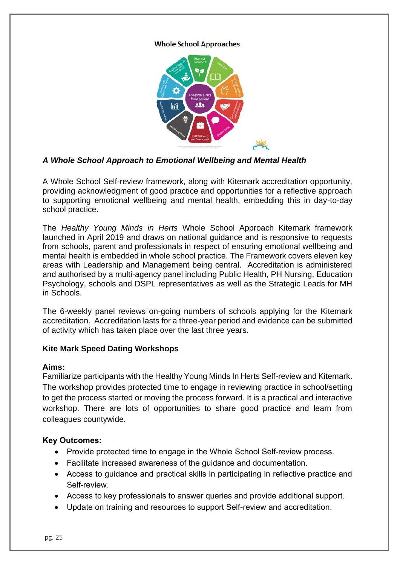#### **Whole School Approaches**



#### *A Whole School Approach to Emotional Wellbeing and Mental Health*

A Whole School Self-review framework, along with Kitemark accreditation opportunity, providing acknowledgment of good practice and opportunities for a reflective approach to supporting emotional wellbeing and mental health, embedding this in day-to-day school practice.

The *Healthy Young Minds in Herts* Whole School Approach Kitemark framework launched in April 2019 and draws on national guidance and is responsive to requests from schools, parent and professionals in respect of ensuring emotional wellbeing and mental health is embedded in whole school practice. The Framework covers eleven key areas with Leadership and Management being central. Accreditation is administered and authorised by a multi-agency panel including Public Health, PH Nursing, Education Psychology, schools and DSPL representatives as well as the Strategic Leads for MH in Schools.

The 6-weekly panel reviews on-going numbers of schools applying for the Kitemark accreditation. Accreditation lasts for a three-year period and evidence can be submitted of activity which has taken place over the last three years.

#### **Kite Mark Speed Dating Workshops**

#### **Aims:**

Familiarize participants with the Healthy Young Minds In Herts Self-review and Kitemark. The workshop provides protected time to engage in reviewing practice in school/setting to get the process started or moving the process forward. It is a practical and interactive workshop. There are lots of opportunities to share good practice and learn from colleagues countywide.

#### **Key Outcomes:**

- Provide protected time to engage in the Whole School Self-review process.
- Facilitate increased awareness of the guidance and documentation.
- Access to guidance and practical skills in participating in reflective practice and Self-review.
- Access to key professionals to answer queries and provide additional support.
- Update on training and resources to support Self-review and accreditation.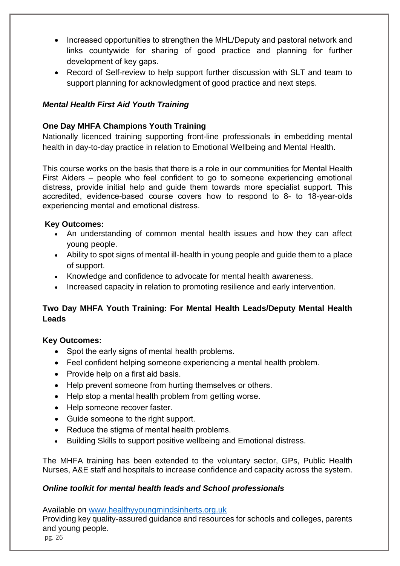- Increased opportunities to strengthen the MHL/Deputy and pastoral network and links countywide for sharing of good practice and planning for further development of key gaps.
- Record of Self-review to help support further discussion with SLT and team to support planning for acknowledgment of good practice and next steps.

# *Mental Health First Aid Youth Training*

## **One Day MHFA Champions Youth Training**

Nationally licenced training supporting front-line professionals in embedding mental health in day-to-day practice in relation to Emotional Wellbeing and Mental Health.

This course works on the basis that there is a role in our communities for Mental Health First Aiders – people who feel confident to go to someone experiencing emotional distress, provide initial help and guide them towards more specialist support. This accredited, evidence-based course covers how to respond to 8- to 18-year-olds experiencing mental and emotional distress.

#### **Key Outcomes:**

- An understanding of common mental health issues and how they can affect young people.
- Ability to spot signs of mental ill-health in young people and guide them to a place of support.
- Knowledge and confidence to advocate for mental health awareness.
- Increased capacity in relation to promoting resilience and early intervention.

#### **Two Day MHFA Youth Training: For Mental Health Leads/Deputy Mental Health Leads**

#### **Key Outcomes:**

- Spot the early signs of mental health problems.
- Feel confident helping someone experiencing a mental health problem.
- Provide help on a first aid basis.
- Help prevent someone from hurting themselves or others.
- Help stop a mental health problem from getting worse.
- Help someone recover faster.
- Guide someone to the right support.
- Reduce the stigma of mental health problems.
- Building Skills to support positive wellbeing and Emotional distress.

The MHFA training has been extended to the voluntary sector, GPs, Public Health Nurses, A&E staff and hospitals to increase confidence and capacity across the system.

#### *Online toolkit for mental health leads and School professionals*

Available on [www.healthyyoungmindsinherts.org.uk](http://www.healthyyoungmindsinherts.org.uk/)

Providing key quality-assured guidance and resources for schools and colleges, parents and young people.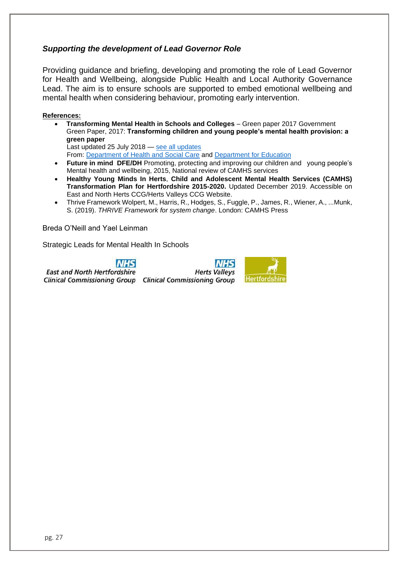#### *Supporting the development of Lead Governor Role*

Providing guidance and briefing, developing and promoting the role of Lead Governor for Health and Wellbeing, alongside Public Health and Local Authority Governance Lead. The aim is to ensure schools are supported to embed emotional wellbeing and mental health when considering behaviour, promoting early intervention.

#### **References:**

• **Transforming Mental Health in Schools and Colleges** – Green paper 2017 Government Green Paper, 2017: **Transforming children and young people's mental health provision: a green paper** 

Last updated 25 July 2018 — [see all updates](https://www.gov.uk/government/consultations/transforming-children-and-young-peoples-mental-health-provision-a-green-paper#history)

From: [Department of Health and Social Care](https://www.gov.uk/government/organisations/department-of-health-and-social-care) and [Department for Education](https://www.gov.uk/government/organisations/department-for-education)

- **Future in mind DFE/DH** Promoting, protecting and improving our children and young people's Mental health and wellbeing, 2015, National review of CAMHS services
- **Healthy Young Minds In Herts**, **Child and Adolescent Mental Health Services (CAMHS) Transformation Plan for Hertfordshire 2015-2020.** Updated December 2019. Accessible on East and North Herts CCG/Herts Valleys CCG Website.
- Thrive Framework Wolpert, M., Harris, R., Hodges, S., Fuggle, P., James, R., Wiener, A., ...Munk, S. (2019). *THRIVE Framework for system change*. London: CAMHS Press

Breda O'Neill and Yael Leinman

Strategic Leads for Mental Health In Schools

**NHS** 

**East and North Hertfordshire** 

**Herts Valleys** Clinical Commissioning Group Clinical Commissioning Group

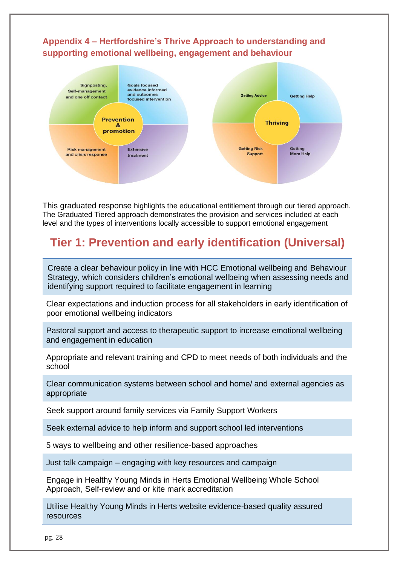# <span id="page-27-0"></span>**Appendix 4 – Hertfordshire's Thrive Approach to understanding and supporting emotional wellbeing, engagement and behaviour**



This graduated response highlights the educational entitlement through our tiered approach. The Graduated Tiered approach demonstrates the provision and services included at each level and the types of interventions locally accessible to support emotional engagement

# **Tier 1: Prevention and early identification (Universal)**

Create a clear behaviour policy in line with HCC Emotional wellbeing and Behaviour Strategy, which considers children's emotional wellbeing when assessing needs and identifying support required to facilitate engagement in learning

Clear expectations and induction process for all stakeholders in early identification of poor emotional wellbeing indicators

Pastoral support and access to therapeutic support to increase emotional wellbeing and engagement in education

Appropriate and relevant training and CPD to meet needs of both individuals and the school

Clear communication systems between school and home/ and external agencies as appropriate

Seek support around family services via Family Support Workers

Seek external advice to help inform and support school led interventions

5 ways to wellbeing and other resilience-based approaches

Just talk campaign – engaging with key resources and campaign

Engage in Healthy Young Minds in Herts Emotional Wellbeing Whole School Approach, Self-review and or kite mark accreditation

Utilise Healthy Young Minds in Herts website evidence-based quality assured resources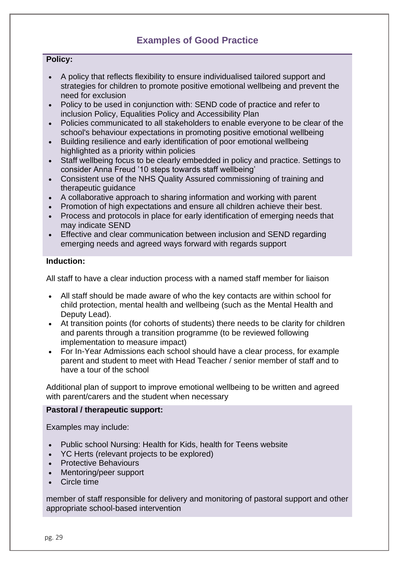# **Examples of Good Practice**

#### **Policy:**

- A policy that reflects flexibility to ensure individualised tailored support and strategies for children to promote positive emotional wellbeing and prevent the need for exclusion
- Policy to be used in conjunction with: SEND code of practice and refer to inclusion Policy, Equalities Policy and Accessibility Plan
- Policies communicated to all stakeholders to enable everyone to be clear of the school's behaviour expectations in promoting positive emotional wellbeing
- Building resilience and early identification of poor emotional wellbeing highlighted as a priority within policies
- Staff wellbeing focus to be clearly embedded in policy and practice. Settings to consider Anna Freud '10 steps towards staff wellbeing'
- Consistent use of the NHS Quality Assured commissioning of training and therapeutic quidance
- A collaborative approach to sharing information and working with parent
- Promotion of high expectations and ensure all children achieve their best.
- Process and protocols in place for early identification of emerging needs that may indicate SEND
- Effective and clear communication between inclusion and SEND regarding emerging needs and agreed ways forward with regards support

#### **Induction:**

All staff to have a clear induction process with a named staff member for liaison

- All staff should be made aware of who the key contacts are within school for child protection, mental health and wellbeing (such as the Mental Health and Deputy Lead).
- At transition points (for cohorts of students) there needs to be clarity for children and parents through a transition programme (to be reviewed following implementation to measure impact)
- For In-Year Admissions each school should have a clear process, for example parent and student to meet with Head Teacher / senior member of staff and to have a tour of the school

Additional plan of support to improve emotional wellbeing to be written and agreed with parent/carers and the student when necessary

#### **Pastoral / therapeutic support:**

Examples may include:

- Public school Nursing: Health for Kids, health for Teens website
- YC Herts (relevant projects to be explored)
- Protective Behaviours
- Mentoring/peer support
- Circle time

member of staff responsible for delivery and monitoring of pastoral support and other appropriate school-based intervention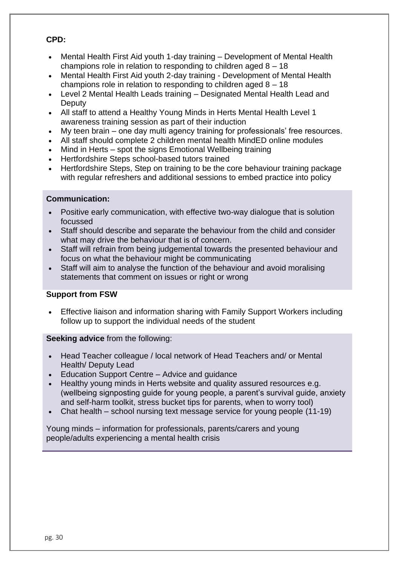#### **CPD:**

- Mental Health First Aid youth 1-day training Development of Mental Health champions role in relation to responding to children aged 8 – 18
- Mental Health First Aid youth 2-day training Development of Mental Health champions role in relation to responding to children aged 8 – 18
- Level 2 Mental Health Leads training Designated Mental Health Lead and **Deputy**
- All staff to attend a Healthy Young Minds in Herts Mental Health Level 1 awareness training session as part of their induction
- My teen brain one day multi agency training for professionals' free resources.
- All staff should complete 2 children mental health MindED online modules
- Mind in Herts spot the signs Emotional Wellbeing training
- Hertfordshire Steps school-based tutors trained
- Hertfordshire Steps, Step on training to be the core behaviour training package with regular refreshers and additional sessions to embed practice into policy

#### **Communication:**

- Positive early communication, with effective two-way dialogue that is solution focussed
- Staff should describe and separate the behaviour from the child and consider what may drive the behaviour that is of concern.
- Staff will refrain from being judgemental towards the presented behaviour and focus on what the behaviour might be communicating
- Staff will aim to analyse the function of the behaviour and avoid moralising statements that comment on issues or right or wrong

#### **Support from FSW**

• Effective liaison and information sharing with Family Support Workers including follow up to support the individual needs of the student

**Seeking advice** from the following:

- Head Teacher colleague / local network of Head Teachers and/ or Mental Health/ Deputy Lead
- Education Support Centre Advice and quidance
- Healthy young minds in Herts website and quality assured resources e.g. (wellbeing signposting guide for young people, a parent's survival guide, anxiety and self-harm toolkit, stress bucket tips for parents, when to worry tool)
- Chat health school nursing text message service for young people (11-19)

Young minds – information for professionals, parents/carers and young people/adults experiencing a mental health crisis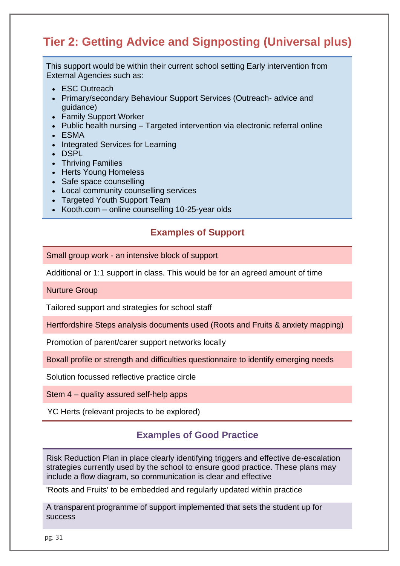# **Tier 2: Getting Advice and Signposting (Universal plus)**

This support would be within their current school setting Early intervention from External Agencies such as:

- ESC Outreach
- Primary/secondary Behaviour Support Services (Outreach- advice and guidance)
- Family Support Worker
- Public health nursing Targeted intervention via electronic referral online
- ESMA
- Integrated Services for Learning
- DSPL
- Thriving Families
- Herts Young Homeless
- Safe space counselling
- Local community counselling services
- Targeted Youth Support Team
- Kooth.com online counselling 10-25-year olds

# **Examples of Support**

Small group work - an intensive block of support

Additional or 1:1 support in class. This would be for an agreed amount of time

Nurture Group

Tailored support and strategies for school staff

Hertfordshire Steps analysis documents used (Roots and Fruits & anxiety mapping)

Promotion of parent/carer support networks locally

Boxall profile or strength and difficulties questionnaire to identify emerging needs

Solution focussed reflective practice circle

Stem 4 – quality assured self-help apps

YC Herts (relevant projects to be explored)

#### **Examples of Good Practice**

Risk Reduction Plan in place clearly identifying triggers and effective de-escalation strategies currently used by the school to ensure good practice. These plans may include a flow diagram, so communication is clear and effective

'Roots and Fruits' to be embedded and regularly updated within practice

A transparent programme of support implemented that sets the student up for success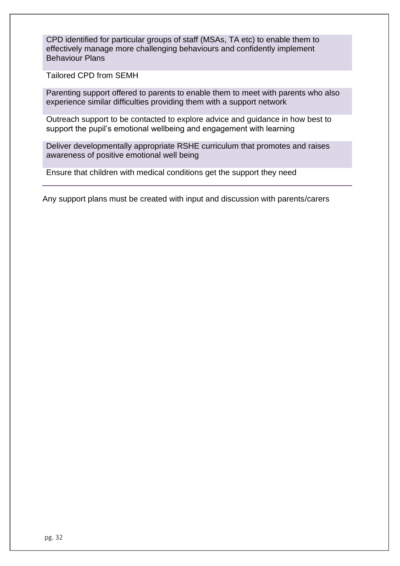CPD identified for particular groups of staff (MSAs, TA etc) to enable them to effectively manage more challenging behaviours and confidently implement Behaviour Plans

Tailored CPD from SEMH

Parenting support offered to parents to enable them to meet with parents who also experience similar difficulties providing them with a support network

Outreach support to be contacted to explore advice and guidance in how best to support the pupil's emotional wellbeing and engagement with learning

Deliver developmentally appropriate RSHE curriculum that promotes and raises awareness of positive emotional well being

Ensure that children with medical conditions get the support they need

Any support plans must be created with input and discussion with parents/carers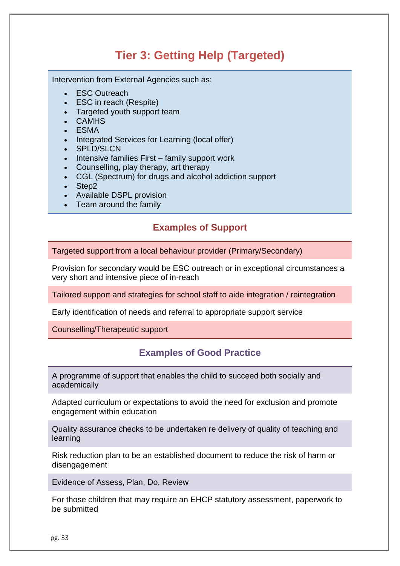# **Tier 3: Getting Help (Targeted)**

Intervention from External Agencies such as:

- **FSC Outreach**
- ESC in reach (Respite)
- Targeted youth support team
- CAMHS
- ESMA
- Integrated Services for Learning (local offer)
- SPLD/SLCN
- Intensive families First family support work
- Counselling, play therapy, art therapy
- CGL (Spectrum) for drugs and alcohol addiction support
- Step2
- Available DSPL provision
- Team around the family

# **Examples of Support**

Targeted support from a local behaviour provider (Primary/Secondary)

Provision for secondary would be ESC outreach or in exceptional circumstances a very short and intensive piece of in-reach

Tailored support and strategies for school staff to aide integration / reintegration

Early identification of needs and referral to appropriate support service

Counselling/Therapeutic support

# **Examples of Good Practice**

A programme of support that enables the child to succeed both socially and academically

Adapted curriculum or expectations to avoid the need for exclusion and promote engagement within education

Quality assurance checks to be undertaken re delivery of quality of teaching and learning

Risk reduction plan to be an established document to reduce the risk of harm or disengagement

Evidence of Assess, Plan, Do, Review

For those children that may require an EHCP statutory assessment, paperwork to be submitted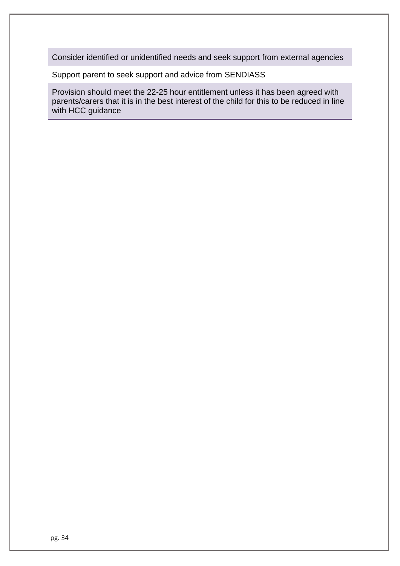Consider identified or unidentified needs and seek support from external agencies

Support parent to seek support and advice from SENDIASS

Provision should meet the 22-25 hour entitlement unless it has been agreed with parents/carers that it is in the best interest of the child for this to be reduced in line with HCC guidance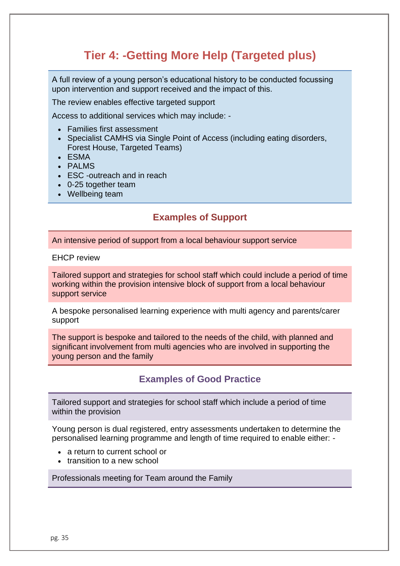# **Tier 4: -Getting More Help (Targeted plus)**

A full review of a young person's educational history to be conducted focussing upon intervention and support received and the impact of this.

The review enables effective targeted support

Access to additional services which may include: -

- Families first assessment
- Specialist CAMHS via Single Point of Access (including eating disorders, Forest House, Targeted Teams)
- ESMA
- PALMS
- ESC -outreach and in reach
- 0-25 together team
- Wellbeing team

# **Examples of Support**

An intensive period of support from a local behaviour support service

EHCP review

Tailored support and strategies for school staff which could include a period of time working within the provision intensive block of support from a local behaviour support service

A bespoke personalised learning experience with multi agency and parents/carer support

The support is bespoke and tailored to the needs of the child, with planned and significant involvement from multi agencies who are involved in supporting the young person and the family

#### **Examples of Good Practice**

Tailored support and strategies for school staff which include a period of time within the provision

Young person is dual registered, entry assessments undertaken to determine the personalised learning programme and length of time required to enable either: -

- a return to current school or
- transition to a new school

Professionals meeting for Team around the Family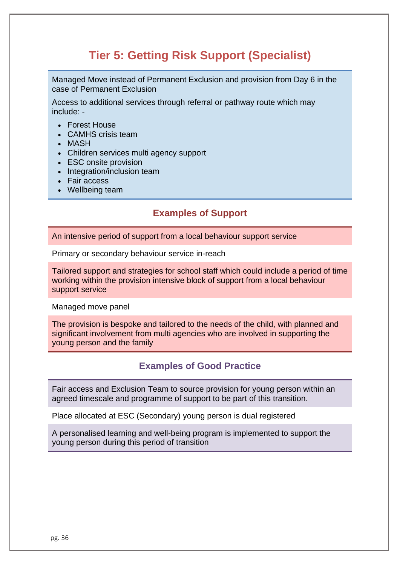# **Tier 5: Getting Risk Support (Specialist)**

Managed Move instead of Permanent Exclusion and provision from Day 6 in the case of Permanent Exclusion

Access to additional services through referral or pathway route which may include: -

- Forest House
- CAMHS crisis team
- MASH
- Children services multi agency support
- ESC onsite provision
- Integration/inclusion team
- Fair access
- Wellbeing team

# **Examples of Support**

An intensive period of support from a local behaviour support service

Primary or secondary behaviour service in-reach

Tailored support and strategies for school staff which could include a period of time working within the provision intensive block of support from a local behaviour support service

Managed move panel

The provision is bespoke and tailored to the needs of the child, with planned and significant involvement from multi agencies who are involved in supporting the young person and the family

#### **Examples of Good Practice**

Fair access and Exclusion Team to source provision for young person within an agreed timescale and programme of support to be part of this transition.

Place allocated at ESC (Secondary) young person is dual registered

A personalised learning and well-being program is implemented to support the young person during this period of transition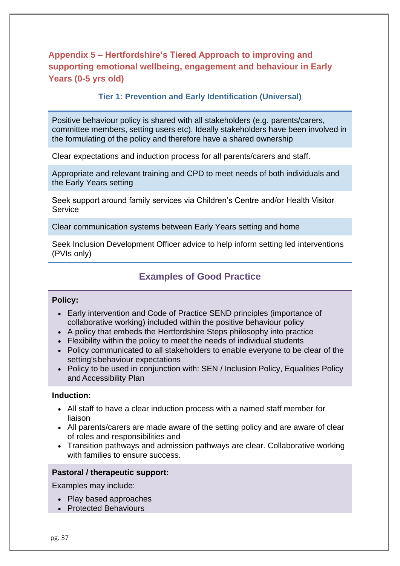# <span id="page-36-0"></span>**Appendix 5 – Hertfordshire's Tiered Approach to improving and supporting emotional wellbeing, engagement and behaviour in Early Years (0-5 yrs old)**

#### **Tier 1: Prevention and Early Identification (Universal)**

Positive behaviour policy is shared with all stakeholders (e.g. parents/carers, committee members, setting users etc). Ideally stakeholders have been involved in the formulating of the policy and therefore have a shared ownership

Clear expectations and induction process for all parents/carers and staff.

Appropriate and relevant training and CPD to meet needs of both individuals and the Early Years setting

Seek support around family services via Children's Centre and/or Health Visitor **Service** 

Clear communication systems between Early Years setting and home

Seek Inclusion Development Officer advice to help inform setting led interventions (PVIs only)

# **Examples of Good Practice**

#### **Policy:**

- Early intervention and Code of Practice SEND principles (importance of collaborative working) included within the positive behaviour policy
- A policy that embeds the Hertfordshire Steps philosophy into practice
- Flexibility within the policy to meet the needs of individual students
- Policy communicated to all stakeholders to enable everyone to be clear of the setting'sbehaviour expectations
- Policy to be used in conjunction with: SEN / Inclusion Policy, Equalities Policy and Accessibility Plan

#### **Induction:**

- All staff to have a clear induction process with a named staff member for liaison
- All parents/carers are made aware of the setting policy and are aware of clear of roles and responsibilities and
- Transition pathways and admission pathways are clear. Collaborative working with families to ensure success.

#### **Pastoral / therapeutic support:**

Examples may include:

- Play based approaches
- Protected Behaviours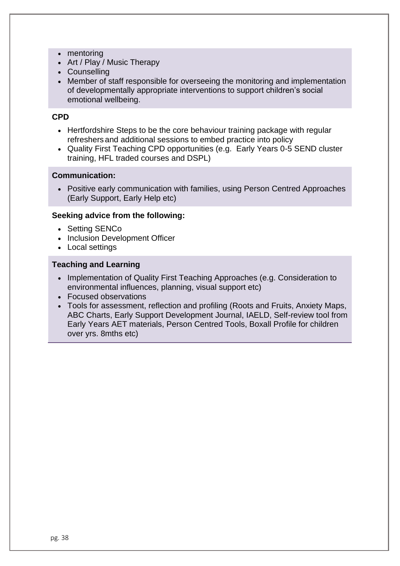- mentoring
- Art / Play / Music Therapy
- Counselling
- Member of staff responsible for overseeing the monitoring and implementation of developmentally appropriate interventions to support children's social emotional wellbeing.

#### **CPD**

- Hertfordshire Steps to be the core behaviour training package with regular refreshers and additional sessions to embed practice into policy
- Quality First Teaching CPD opportunities (e.g. Early Years 0-5 SEND cluster training, HFL traded courses and DSPL)

#### **Communication:**

• Positive early communication with families, using Person Centred Approaches (Early Support, Early Help etc)

#### **Seeking advice from the following:**

- Setting SENCo
- Inclusion Development Officer
- Local settings

#### **Teaching and Learning**

- Implementation of Quality First Teaching Approaches (e.g. Consideration to environmental influences, planning, visual support etc)
- Focused observations
- Tools for assessment, reflection and profiling (Roots and Fruits, Anxiety Maps, ABC Charts, Early Support Development Journal, IAELD, Self-review tool from Early Years AET materials, Person Centred Tools, Boxall Profile for children over yrs. 8mths etc)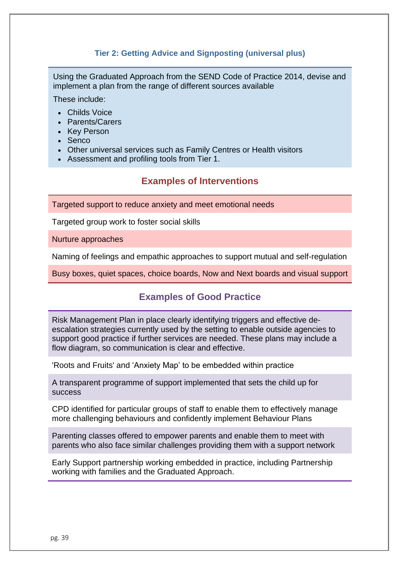#### **Tier 2: Getting Advice and Signposting (universal plus)**

Using the Graduated Approach from the SEND Code of Practice 2014, devise and implement a plan from the range of different sources available

These include:

- Childs Voice
- Parents/Carers
- Key Person
- Senco
- Other universal services such as Family Centres or Health visitors
- Assessment and profiling tools from Tier 1.

# **Examples of Interventions**

Targeted support to reduce anxiety and meet emotional needs

Targeted group work to foster social skills

Nurture approaches

Naming of feelings and empathic approaches to support mutual and self-regulation

Busy boxes, quiet spaces, choice boards, Now and Next boards and visual support

#### **Examples of Good Practice**

Risk Management Plan in place clearly identifying triggers and effective deescalation strategies currently used by the setting to enable outside agencies to support good practice if further services are needed. These plans may include a flow diagram, so communication is clear and effective.

'Roots and Fruits' and 'Anxiety Map' to be embedded within practice

A transparent programme of support implemented that sets the child up for success

CPD identified for particular groups of staff to enable them to effectively manage more challenging behaviours and confidently implement Behaviour Plans

Parenting classes offered to empower parents and enable them to meet with parents who also face similar challenges providing them with a support network

Early Support partnership working embedded in practice, including Partnership working with families and the Graduated Approach.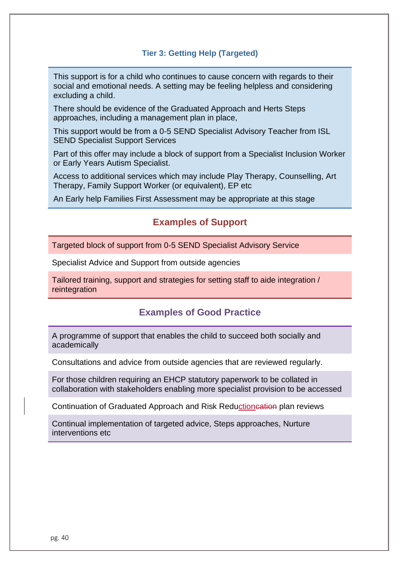#### **Tier 3: Getting Help (Targeted)**

This support is for a child who continues to cause concern with regards to their social and emotional needs. A setting may be feeling helpless and considering excluding a child.

There should be evidence of the Graduated Approach and Herts Steps approaches, including a management plan in place,

This support would be from a 0-5 SEND Specialist Advisory Teacher from ISL SEND Specialist Support Services

Part of this offer may include a block of support from a Specialist Inclusion Worker or Early Years Autism Specialist.

Access to additional services which may include Play Therapy, Counselling, Art Therapy, Family Support Worker (or equivalent), EP etc

An Early help Families First Assessment may be appropriate at this stage

# **Examples of Support**

Targeted block of support from 0-5 SEND Specialist Advisory Service

Specialist Advice and Support from outside agencies

Tailored training, support and strategies for setting staff to aide integration / reintegration

#### **Examples of Good Practice**

A programme of support that enables the child to succeed both socially and academically

Consultations and advice from outside agencies that are reviewed regularly.

For those children requiring an EHCP statutory paperwork to be collated in collaboration with stakeholders enabling more specialist provision to be accessed

Continuation of Graduated Approach and Risk Reduction cation plan reviews

Continual implementation of targeted advice, Steps approaches, Nurture interventions etc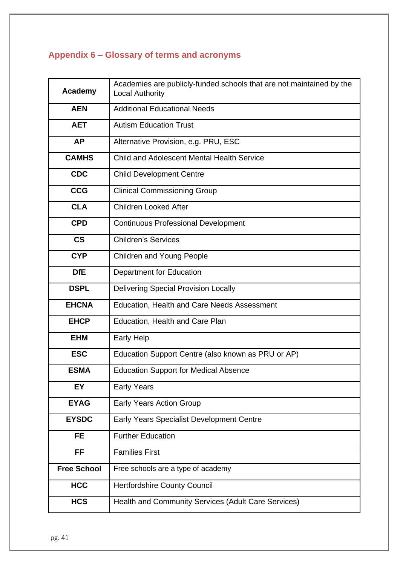# <span id="page-40-0"></span>**Appendix 6 – Glossary of terms and acronyms**

| <b>Academy</b>           | Academies are publicly-funded schools that are not maintained by the<br><b>Local Authority</b> |
|--------------------------|------------------------------------------------------------------------------------------------|
| <b>AEN</b>               | <b>Additional Educational Needs</b>                                                            |
| <b>AET</b>               | <b>Autism Education Trust</b>                                                                  |
| <b>AP</b>                | Alternative Provision, e.g. PRU, ESC                                                           |
| <b>CAMHS</b>             | <b>Child and Adolescent Mental Health Service</b>                                              |
| <b>CDC</b>               | <b>Child Development Centre</b>                                                                |
| <b>CCG</b>               | <b>Clinical Commissioning Group</b>                                                            |
| <b>CLA</b>               | <b>Children Looked After</b>                                                                   |
| <b>CPD</b>               | <b>Continuous Professional Development</b>                                                     |
| $\mathsf{CS}\phantom{0}$ | <b>Children's Services</b>                                                                     |
| <b>CYP</b>               | <b>Children and Young People</b>                                                               |
| <b>DfE</b>               | <b>Department for Education</b>                                                                |
| <b>DSPL</b>              | <b>Delivering Special Provision Locally</b>                                                    |
| <b>EHCNA</b>             | <b>Education, Health and Care Needs Assessment</b>                                             |
| <b>EHCP</b>              | Education, Health and Care Plan                                                                |
| <b>EHM</b>               | <b>Early Help</b>                                                                              |
| <b>ESC</b>               | Education Support Centre (also known as PRU or AP)                                             |
| <b>ESMA</b>              | <b>Education Support for Medical Absence</b>                                                   |
| EY                       | <b>Early Years</b>                                                                             |
| <b>EYAG</b>              | <b>Early Years Action Group</b>                                                                |
| <b>EYSDC</b>             | <b>Early Years Specialist Development Centre</b>                                               |
| <b>FE</b>                | <b>Further Education</b>                                                                       |
| <b>FF</b>                | <b>Families First</b>                                                                          |
| <b>Free School</b>       | Free schools are a type of academy                                                             |
| <b>HCC</b>               | <b>Hertfordshire County Council</b>                                                            |
| <b>HCS</b>               | Health and Community Services (Adult Care Services)                                            |